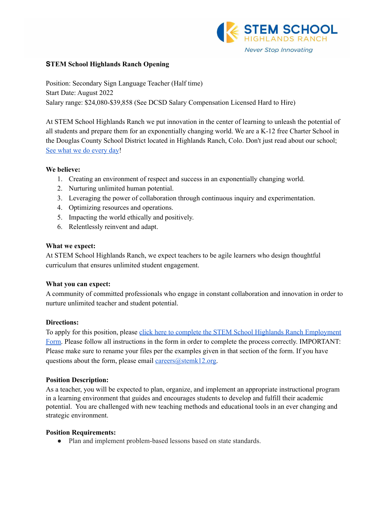

# **STEM School Highlands Ranch Opening**

Position: Secondary Sign Language Teacher (Half time) Start Date: August 2022 Salary range: \$24,080-\$39,858 (See DCSD Salary Compensation Licensed Hard to Hire)

At STEM School Highlands Ranch we put innovation in the center of learning to unleash the potential of all students and prepare them for an exponentially changing world. We are a K-12 free Charter School in the Douglas County School District located in Highlands Ranch, Colo. Don't just read about our school; See what we do [every](https://www.youtube.com/channel/UCEjas5mnML_7D6bnjE6cBXQ) day!

# **We believe:**

- 1. Creating an environment of respect and success in an exponentially changing world.
- 2. Nurturing unlimited human potential.
- 3. Leveraging the power of collaboration through continuous inquiry and experimentation.
- 4. Optimizing resources and operations.
- 5. Impacting the world ethically and positively.
- 6. Relentlessly reinvent and adapt.

# **What we expect:**

At STEM School Highlands Ranch, we expect teachers to be agile learners who design thoughtful curriculum that ensures unlimited student engagement.

# **What you can expect:**

A community of committed professionals who engage in constant collaboration and innovation in order to nurture unlimited teacher and student potential.

# **Directions:**

To apply for this position, please click here to complete the STEM School Highlands Ranch [Employment](https://docs.google.com/forms/d/e/1FAIpQLSfix8N5Y4r8UN-EoNntuUI_3ZGfalCIW_KiKAja-s9jkUit8g/viewform?usp=sf_link) [Form.](https://docs.google.com/forms/d/e/1FAIpQLSfix8N5Y4r8UN-EoNntuUI_3ZGfalCIW_KiKAja-s9jkUit8g/viewform?usp=sf_link) Please follow all instructions in the form in order to complete the process correctly. IMPORTANT: Please make sure to rename your files per the examples given in that section of the form. If you have questions about the form, please email careers $@$ stemk12.org.

#### **Position Description:**

As a teacher, you will be expected to plan, organize, and implement an appropriate instructional program in a learning environment that guides and encourages students to develop and fulfill their academic potential. You are challenged with new teaching methods and educational tools in an ever changing and strategic environment.

#### **Position Requirements:**

• Plan and implement problem-based lessons based on state standards.